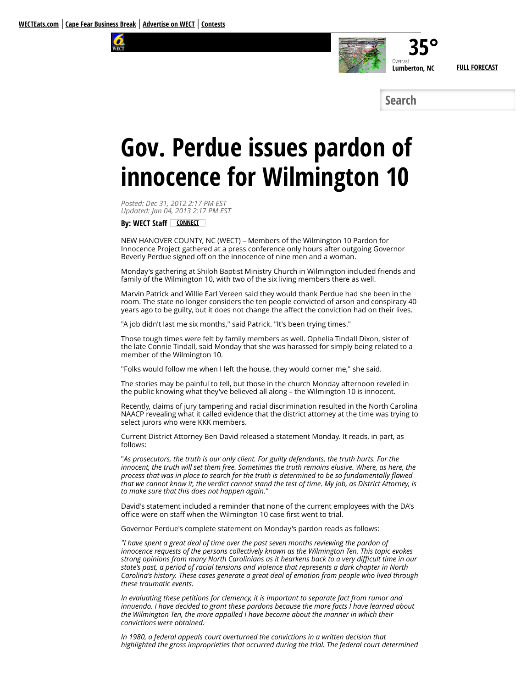



**Search**

# **Gov. Perdue issues pardon of innocence for Wilmington 10**

*Posted: Dec 31, 2012 2:17 PM EST Updated: Jan 04, 2013 2:17 PM EST*

**By: WECT Staff [CONNECT](http://www.wect.com/story/20474976/gov-perdue-issues-pardon-of-innocence-for-wilmington-10#)**

NEW HANOVER COUNTY, NC (WECT) – Members of the Wilmington 10 Pardon for Innocence Project gathered at a press conference only hours after outgoing Governor Beverly Perdue signed off on the innocence of nine men and a woman.

Monday's gathering at Shiloh Baptist Ministry Church in Wilmington included friends and family of the Wilmington 10, with two of the six living members there as well.

Marvin Patrick and Willie Earl Vereen said they would thank Perdue had she been in the room. The state no longer considers the ten people convicted of arson and conspiracy 40 years ago to be guilty, but it does not change the affect the conviction had on their lives.

"A job didn't last me six months," said Patrick. "It's been trying times."

Those tough times were felt by family members as well. Ophelia Tindall Dixon, sister of the late Connie Tindall, said Monday that she was harassed for simply being related to a member of the Wilmington 10.

"Folks would follow me when I left the house, they would corner me," she said.

The stories may be painful to tell, but those in the church Monday afternoon reveled in the public knowing what they've believed all along – the Wilmington 10 is innocent.

Recently, claims of jury tampering and racial discrimination resulted in the North Carolina NAACP revealing what it called evidence that the district attorney at the time was trying to select jurors who were KKK members.

Current District Attorney Ben David released a statement Monday. It reads, in part, as follows:

"*As prosecutors, the truth is our only client. For guilty defendants, the truth hurts. For the innocent, the truth will set them free. Sometimes the truth remains elusive. Where, as here, the process that was in place to search for the truth is determined to be so fundamentally flawed that we cannot know it, the verdict cannot stand the test of time. My job, as District Attorney, is to make sure that this does not happen again."*

David's statement included a reminder that none of the current employees with the DA's office were on staff when the Wilmington 10 case first went to trial.

Governor Perdue's complete statement on Monday's pardon reads as follows:

*"I have spent a great deal of time over the past seven months reviewing the pardon of innocence requests of the persons collectively known as the Wilmington Ten. This topic evokes strong opinions from many North Carolinians as it hearkens back to a very difficult time in our state's past, a period of racial tensions and violence that represents a dark chapter in North Carolina's history. These cases generate a great deal of emotion from people who lived through these traumatic events.*

*In evaluating these petitions for clemency, it is important to separate fact from rumor and innuendo. I have decided to grant these pardons because the more facts I have learned about the Wilmington Ten, the more appalled I have become about the manner in which their convictions were obtained.*

*In 1980, a federal appeals court overturned the convictions in a written decision that highlighted the gross improprieties that occurred during the trial. The federal court determined*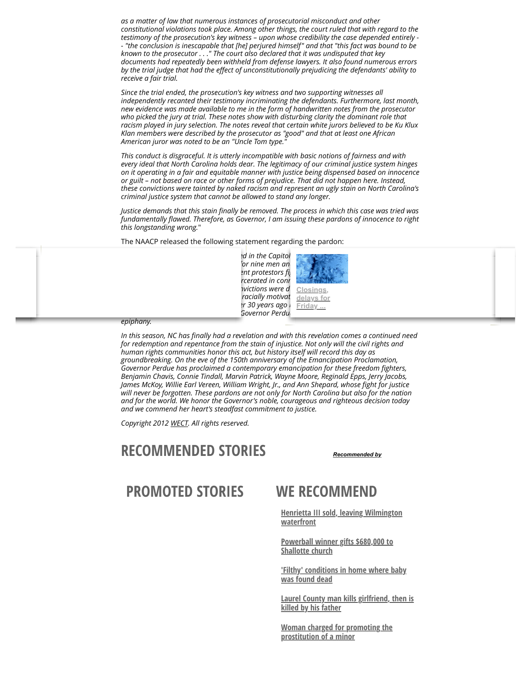*as a matter of law that numerous instances of prosecutorial misconduct and other constitutional violations took place. Among other things, the court ruled that with regard to the testimony of the prosecution's key witness – upon whose credibility the case depended entirely - - "the conclusion is inescapable that [he] perjured himself" and that "this fact was bound to be known to the prosecutor . . ." The court also declared that it was undisputed that key documents had repeatedly been withheld from defense lawyers. It also found numerous errors by the trial judge that had the effect of unconstitutionally prejudicing the defendants' ability to receive a fair trial.*

*Since the trial ended, the prosecution's key witness and two supporting witnesses all independently recanted their testimony incriminating the defendants. Furthermore, last month, new evidence was made available to me in the form of handwritten notes from the prosecutor who picked the jury at trial. These notes show with disturbing clarity the dominant role that racism played in jury selection. The notes reveal that certain white jurors believed to be Ku Klux Klan members were described by the prosecutor as "good" and that at least one African American juror was noted to be an "Uncle Tom type."*

*This conduct is disgraceful. It is utterly incompatible with basic notions of fairness and with every ideal that North Carolina holds dear. The legitimacy of our criminal justice system hinges on it operating in a fair and equitable manner with justice being dispensed based on innocence or guilt – not based on race or other forms of prejudice. That did not happen here. Instead, these convictions were tainted by naked racism and represent an ugly stain on North Carolina's criminal justice system that cannot be allowed to stand any longer.*

*Justice demands that this stain finally be removed. The process in which this case was tried was fundamentally flawed. Therefore, as Governor, I am issuing these pardons of innocence to right this longstanding wrong.*"

The NAACP released the following statement regarding the pardon:

d in the Capitol  $\overline{p}$  *for nine men and 10.' These young people were non-violent protestors fi[ghting for educational equality. They were](http://www.wect.com/story/31024093/closings-and-delays-for-friday-january-22-due-to-inclement-weather) framed, wrongfully convicted and incarcerated in connection to a fire bombing in Wilmington, Nictions were due to racist system and extraordinary and blatant racially motivated prosecutorial misconduct. A Federal Court overturned these convictions over 30 years ago but until today, NC had fallen short. In the last few days of her governorship, Governor Perdue has walked us into a season of*



*epiphany.*

*In this season, NC has finally had a revelation and with this revelation comes a continued need for redemption and repentance from the stain of injustice. Not only will the civil rights and human rights communities honor this act, but history itself will record this day as groundbreaking. On the eve of the 150th anniversary of the Emancipation Proclamation, Governor Perdue has proclaimed a contemporary emancipation for these freedom fighters, Benjamin Chavis, Connie Tindall, Marvin Patrick, Wayne Moore, Reginald Epps, Jerry Jacobs, James McKoy, Willie Earl Vereen, William Wright, Jr., and Ann Shepard, whose fight for justice will never be forgotten. These pardons are not only for North Carolina but also for the nation and for the world. We honor the Governor's noble, courageous and righteous decision today and we commend her heart's steadfast commitment to justice.*

*Copyright 2012 [WECT.](http://www.wect.com/) All rights reserved.*

### **RECOMMENDED STORIES** *[Recommended by](http://www.wect.com/story/20474976/gov-perdue-issues-pardon-of-innocence-for-wilmington-10#)*

**PROMOTED STORIES WE RECOMMEND**

**[Henrietta III sold, leaving Wilmington](http://www.wect.com/story/31012706/henrietta-iii-sold-leaving-wilmington-waterfront) waterfront**

**[Powerball winner gifts \\$680,000 to](http://www.wect.com/story/30626166/powerball-winner-gifts-680000-to-shallotte-church) Shallotte church**

**['Filthy' conditions in home where baby](http://www.wect.com/story/30836645/filthy-conditions-in-home-where-baby-was-found-dead) was found dead**

**[Laurel County man kills girlfriend, then is](http://www.wect.com/story/30797464/laurel-county-man-kills-girlfriend-then-is-killed-by-his-father) killed by his father**

**[Woman charged for promoting the](http://www.wect.com/story/30568987/woman-charged-for-promoting-the-prostitution-of-a-minor) prostitution of a minor**